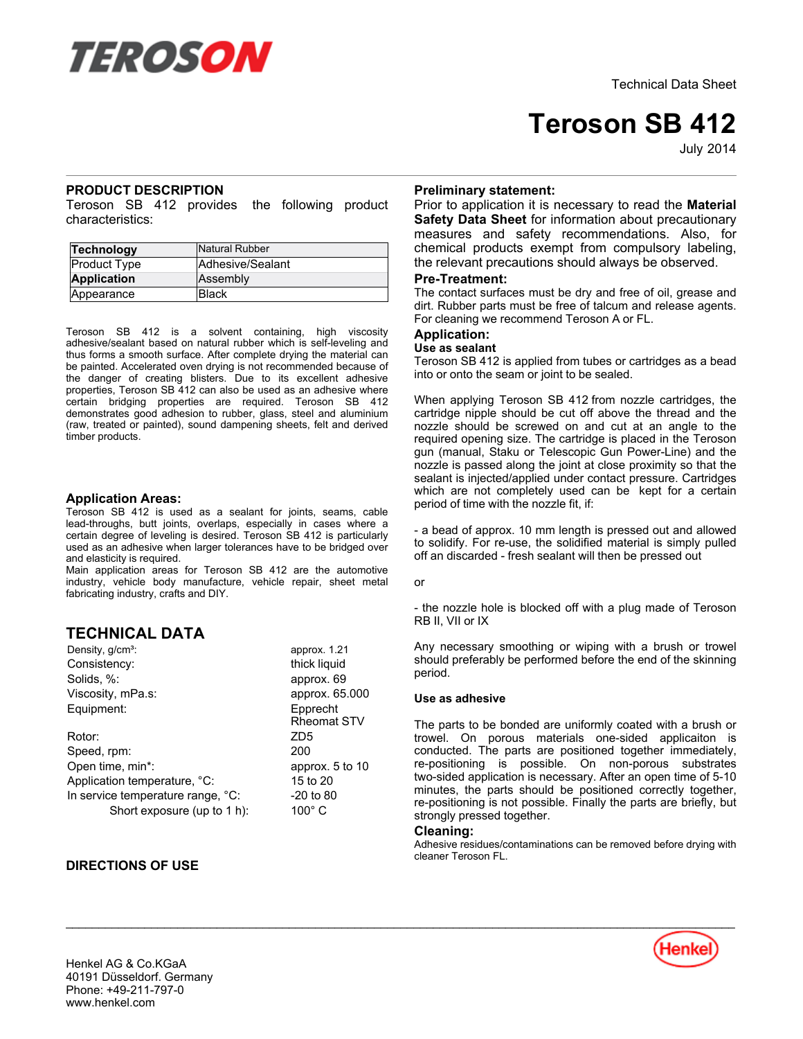

# **Teroson SB 412**

July-2014

## **PRODUCT DESCRIPTION**

Teroson SB 412 provides the following product characteristics:

| Technology          | Natural Rubber   |
|---------------------|------------------|
| <b>Product Type</b> | Adhesive/Sealant |
| <b>Application</b>  | Assembly         |
| Appearance          | <b>Black</b>     |

Teroson SB 412 is a solvent containing, high viscosity adhesive/sealant based on natural rubber which is self-leveling and thus forms a smooth surface. After complete drying the material can be painted. Accelerated oven drying is not recommended because of the danger of creating blisters. Due to its excellent adhesive properties, Teroson SB 412 can also be used as an adhesive where certain bridging properties are required. Teroson SB 412 demonstrates good adhesion to rubber, glass, steel and aluminium (raw, treated or painted), sound dampening sheets, felt and derived timber products.

### **Application Areas:**

Teroson SB 412 is used as a sealant for joints, seams, cable lead-throughs, butt joints, overlaps, especially in cases where a certain degree of leveling is desired. Teroson SB 412 is particularly used as an adhesive when larger tolerances have to be bridged over and elasticity is required.

Main application areas for Teroson SB 412 are the automotive industry, vehicle body manufacture, vehicle repair, sheet metal fabricating industry, crafts and DIY.

## **TECHNICAL DATA**

Density, g/cm<sup>3</sup>: approx. 1.21 Consistency: thick liquid Solids, %: approx. 69 Viscosity, mPa.s: approx. 65.000 Equipment: Epprecht Rheomat STV Rotor: ZD5 Speed, rpm: 200 Open time, min<sup>\*</sup>: approx. 5 to 10 Application temperature, °C: 15 to 20 In service temperature range,  $°C$ :  $-20$  to 80

Short exposure (up to 1 h): 100° C

## **DIRECTIONS OF USE**

## **Preliminary statement:**

Prior to application it is necessary to read the **Material Safety Data Sheet** for information about precautionary measures and safety recommendations. Also, for chemical products exempt from compulsory labeling, the relevant precautions should always be observed.

#### **Pre-Treatment:**

The contact surfaces must be dry and free of oil, grease and dirt. Rubber parts must be free of talcum and release agents. For cleaning we recommend Teroson A or FL.

## **Application:**

#### **Use as sealant**

Teroson SB 412 is applied from tubes or cartridges as a bead into or onto the seam or joint to be sealed.

When applying Teroson SB 412 from nozzle cartridges, the cartridge nipple should be cut off above the thread and the nozzle should be screwed on and cut at an angle to the required opening size. The cartridge is placed in the Teroson gun (manual, Staku or Telescopic Gun Power-Line) and the nozzle is passed along the joint at close proximity so that the sealant is injected/applied under contact pressure. Cartridges which are not completely used can be kept for a certain period of time with the nozzle fit, if:

- a bead of approx. 10 mm length is pressed out and allowed to solidify. For re-use, the solidified material is simply pulled off an discarded - fresh sealant will then be pressed out

or

- the nozzle hole is blocked off with a plug made of Teroson RB II, VII or IX

Any necessary smoothing or wiping with a brush or trowel should preferably be performed before the end of the skinning period.

#### **Use as adhesive**

The parts to be bonded are uniformly coated with a brush or trowel. On porous materials one-sided applicaiton is conducted. The parts are positioned together immediately, re-positioning is possible. On non-porous substrates two-sided application is necessary. After an open time of 5-10 minutes, the parts should be positioned correctly together, re-positioning is not possible. Finally the parts are briefly, but strongly pressed together.

## **Cleaning:**

Adhesive residues/contaminations can be removed before drying with cleaner Teroson FL.